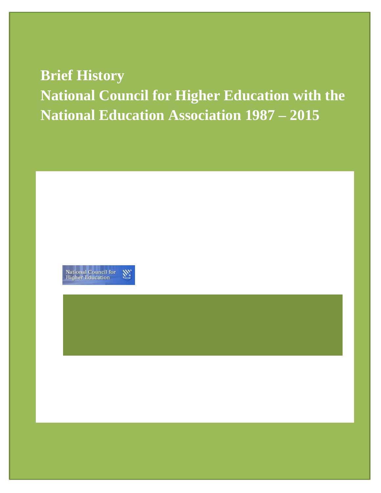# **Brief History National Council for Higher Education with the National Education Association 1987 – 2015**

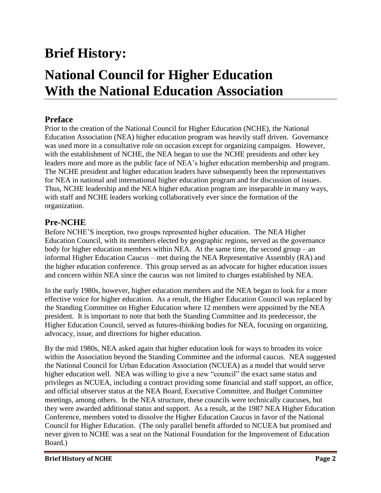## **Brief History:**

## **National Council for Higher Education With the National Education Association**

#### **Preface**

Prior to the creation of the National Council for Higher Education (NCHE), the National Education Association (NEA) higher education program was heavily staff driven. Governance was used more in a consultative role on occasion except for organizing campaigns. However, with the establishment of NCHE, the NEA began to use the NCHE presidents and other key leaders more and more as the public face of NEA's higher education membership and program. The NCHE president and higher education leaders have subsequently been the representatives for NEA in national and international higher education program and for discussion of issues. Thus, NCHE leadership and the NEA higher education program are inseparable in many ways, with staff and NCHE leaders working collaboratively ever since the formation of the organization.

#### **Pre-NCHE**

Before NCHE'S inception, two groups represented higher education. The NEA Higher Education Council, with its members elected by geographic regions, served as the governance body for higher education members within NEA. At the same time, the second group – an informal Higher Education Caucus – met during the NEA Representative Assembly (RA) and the higher education conference. This group served as an advocate for higher education issues and concern within NEA since the caucus was not limited to charges established by NEA.

In the early 1980s, however, higher education members and the NEA began to look for a more effective voice for higher education. As a result, the Higher Education Council was replaced by the Standing Committee on Higher Education where 12 members were appointed by the NEA president. It is important to note that both the Standing Committee and its predecessor, the Higher Education Council, served as futures-thinking bodies for NEA, focusing on organizing, advocacy, issue, and directions for higher education.

By the mid 1980s, NEA asked again that higher education look for ways to broaden its voice within the Association beyond the Standing Committee and the informal caucus. NEA suggested the National Council for Urban Education Association (NCUEA) as a model that would serve higher education well. NEA was willing to give a new "council" the exact same status and privileges as NCUEA, including a contract providing some financial and staff support, an office, and official observer status at the NEA Board, Executive Committee, and Budget Committee meetings, among others. In the NEA structure, these councils were technically caucuses, but they were awarded additional status and support. As a result, at the 1987 NEA Higher Education Conference, members voted to dissolve the Higher Education Caucus in favor of the National Council for Higher Education. (The only parallel benefit afforded to NCUEA but promised and never given to NCHE was a seat on the National Foundation for the Improvement of Education Board.)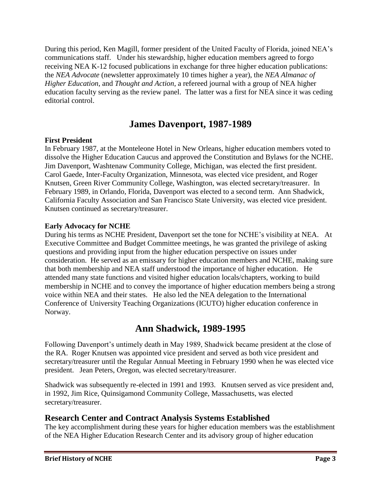During this period, Ken Magill, former president of the United Faculty of Florida, joined NEA's communications staff. Under his stewardship, higher education members agreed to forgo receiving NEA K-12 focused publications in exchange for three higher education publications: the *NEA Advocate* (newsletter approximately 10 times higher a year), the *NEA Almanac of Higher Education*, and *Thought and Action*, a refereed journal with a group of NEA higher education faculty serving as the review panel. The latter was a first for NEA since it was ceding editorial control.

## **James Davenport, 1987-1989**

#### **First President**

In February 1987, at the Monteleone Hotel in New Orleans, higher education members voted to dissolve the Higher Education Caucus and approved the Constitution and Bylaws for the NCHE. Jim Davenport, Washtenaw Community College, Michigan, was elected the first president. Carol Gaede, Inter-Faculty Organization, Minnesota, was elected vice president, and Roger Knutsen, Green River Community College, Washington, was elected secretary/treasurer. In February 1989, in Orlando, Florida, Davenport was elected to a second term. Ann Shadwick, California Faculty Association and San Francisco State University, was elected vice president. Knutsen continued as secretary/treasurer.

#### **Early Advocacy for NCHE**

During his terms as NCHE President, Davenport set the tone for NCHE's visibility at NEA. At Executive Committee and Budget Committee meetings, he was granted the privilege of asking questions and providing input from the higher education perspective on issues under consideration. He served as an emissary for higher education members and NCHE, making sure that both membership and NEA staff understood the importance of higher education. He attended many state functions and visited higher education locals/chapters, working to build membership in NCHE and to convey the importance of higher education members being a strong voice within NEA and their states. He also led the NEA delegation to the International Conference of University Teaching Organizations (ICUTO) higher education conference in Norway.

## **Ann Shadwick, 1989-1995**

Following Davenport's untimely death in May 1989, Shadwick became president at the close of the RA. Roger Knutsen was appointed vice president and served as both vice president and secretary/treasurer until the Regular Annual Meeting in February 1990 when he was elected vice president. Jean Peters, Oregon, was elected secretary/treasurer.

Shadwick was subsequently re-elected in 1991 and 1993. Knutsen served as vice president and, in 1992, Jim Rice, Quinsigamond Community College, Massachusetts, was elected secretary/treasurer.

#### **Research Center and Contract Analysis Systems Established**

The key accomplishment during these years for higher education members was the establishment of the NEA Higher Education Research Center and its advisory group of higher education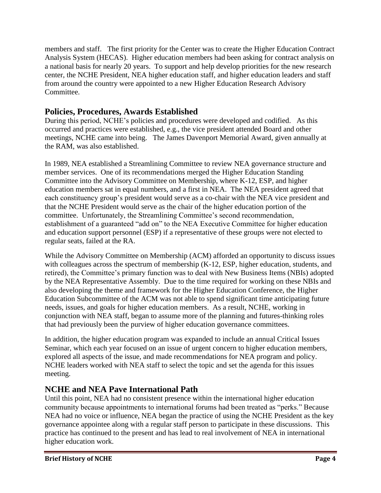members and staff. The first priority for the Center was to create the Higher Education Contract Analysis System (HECAS). Higher education members had been asking for contract analysis on a national basis for nearly 20 years. To support and help develop priorities for the new research center, the NCHE President, NEA higher education staff, and higher education leaders and staff from around the country were appointed to a new Higher Education Research Advisory Committee.

#### **Policies, Procedures, Awards Established**

During this period, NCHE's policies and procedures were developed and codified. As this occurred and practices were established, e.g., the vice president attended Board and other meetings, NCHE came into being. The James Davenport Memorial Award, given annually at the RAM, was also established.

In 1989, NEA established a Streamlining Committee to review NEA governance structure and member services. One of its recommendations merged the Higher Education Standing Committee into the Advisory Committee on Membership, where K-12, ESP, and higher education members sat in equal numbers, and a first in NEA. The NEA president agreed that each constituency group's president would serve as a co-chair with the NEA vice president and that the NCHE President would serve as the chair of the higher education portion of the committee. Unfortunately, the Streamlining Committee's second recommendation, establishment of a guaranteed "add on" to the NEA Executive Committee for higher education and education support personnel (ESP) if a representative of these groups were not elected to regular seats, failed at the RA.

While the Advisory Committee on Membership (ACM) afforded an opportunity to discuss issues with colleagues across the spectrum of membership (K-12, ESP, higher education, students, and retired), the Committee's primary function was to deal with New Business Items (NBIs) adopted by the NEA Representative Assembly. Due to the time required for working on these NBIs and also developing the theme and framework for the Higher Education Conference, the Higher Education Subcommittee of the ACM was not able to spend significant time anticipating future needs, issues, and goals for higher education members. As a result, NCHE, working in conjunction with NEA staff, began to assume more of the planning and futures-thinking roles that had previously been the purview of higher education governance committees.

In addition, the higher education program was expanded to include an annual Critical Issues Seminar, which each year focused on an issue of urgent concern to higher education members, explored all aspects of the issue, and made recommendations for NEA program and policy. NCHE leaders worked with NEA staff to select the topic and set the agenda for this issues meeting.

#### **NCHE and NEA Pave International Path**

Until this point, NEA had no consistent presence within the international higher education community because appointments to international forums had been treated as "perks." Because NEA had no voice or influence, NEA began the practice of using the NCHE President as the key governance appointee along with a regular staff person to participate in these discussions. This practice has continued to the present and has lead to real involvement of NEA in international higher education work.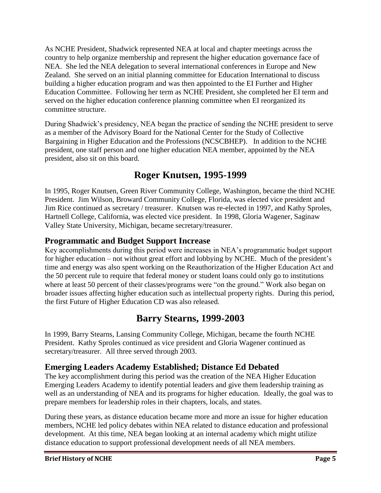As NCHE President, Shadwick represented NEA at local and chapter meetings across the country to help organize membership and represent the higher education governance face of NEA. She led the NEA delegation to several international conferences in Europe and New Zealand. She served on an initial planning committee for Education International to discuss building a higher education program and was then appointed to the EI Further and Higher Education Committee. Following her term as NCHE President, she completed her EI term and served on the higher education conference planning committee when EI reorganized its committee structure.

During Shadwick's presidency, NEA began the practice of sending the NCHE president to serve as a member of the Advisory Board for the National Center for the Study of Collective Bargaining in Higher Education and the Professions (NCSCBHEP). In addition to the NCHE president, one staff person and one higher education NEA member, appointed by the NEA president, also sit on this board.

## **Roger Knutsen, 1995-1999**

In 1995, Roger Knutsen, Green River Community College, Washington, became the third NCHE President. Jim Wilson, Broward Community College, Florida, was elected vice president and Jim Rice continued as secretary / treasurer. Knutsen was re-elected in 1997, and Kathy Sproles, Hartnell College, California, was elected vice president. In 1998, Gloria Wagener, Saginaw Valley State University, Michigan, became secretary/treasurer.

#### **Programmatic and Budget Support Increase**

Key accomplishments during this period were increases in NEA's programmatic budget support for higher education – not without great effort and lobbying by NCHE. Much of the president's time and energy was also spent working on the Reauthorization of the Higher Education Act and the 50 percent rule to require that federal money or student loans could only go to institutions where at least 50 percent of their classes/programs were "on the ground." Work also began on broader issues affecting higher education such as intellectual property rights. During this period, the first Future of Higher Education CD was also released.

## **Barry Stearns, 1999-2003**

In 1999, Barry Stearns, Lansing Community College, Michigan, became the fourth NCHE President. Kathy Sproles continued as vice president and Gloria Wagener continued as secretary/treasurer. All three served through 2003.

#### **Emerging Leaders Academy Established; Distance Ed Debated**

The key accomplishment during this period was the creation of the NEA Higher Education Emerging Leaders Academy to identify potential leaders and give them leadership training as well as an understanding of NEA and its programs for higher education. Ideally, the goal was to prepare members for leadership roles in their chapters, locals, and states.

During these years, as distance education became more and more an issue for higher education members, NCHE led policy debates within NEA related to distance education and professional development. At this time, NEA began looking at an internal academy which might utilize distance education to support professional development needs of all NEA members.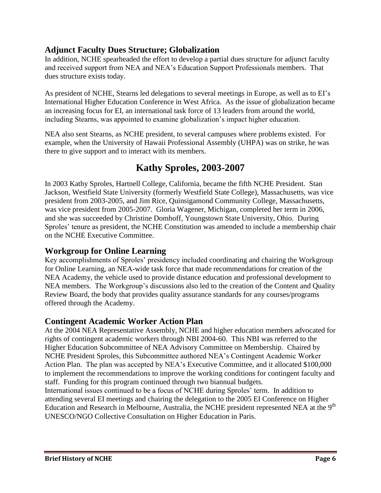#### **Adjunct Faculty Dues Structure; Globalization**

In addition, NCHE spearheaded the effort to develop a partial dues structure for adjunct faculty and received support from NEA and NEA's Education Support Professionals members. That dues structure exists today.

As president of NCHE, Stearns led delegations to several meetings in Europe, as well as to EI's International Higher Education Conference in West Africa. As the issue of globalization became an increasing focus for EI, an international task force of 13 leaders from around the world, including Stearns, was appointed to examine globalization's impact higher education.

NEA also sent Stearns, as NCHE president, to several campuses where problems existed. For example, when the University of Hawaii Professional Assembly (UHPA) was on strike, he was there to give support and to interact with its members.

## **Kathy Sproles, 2003-2007**

In 2003 Kathy Sproles, Hartnell College, California, became the fifth NCHE President. Stan Jackson, Westfield State University (formerly Westfield State College), Massachusetts, was vice president from 2003-2005, and Jim Rice, Quinsigamond Community College, Massachusetts, was vice president from 2005-2007. Gloria Wagener, Michigan, completed her term in 2006, and she was succeeded by Christine Domhoff, Youngstown State University, Ohio. During Sproles' tenure as president, the NCHE Constitution was amended to include a membership chair on the NCHE Executive Committee.

#### **Workgroup for Online Learning**

Key accomplishments of Sproles' presidency included coordinating and chairing the Workgroup for Online Learning, an NEA-wide task force that made recommendations for creation of the NEA Academy, the vehicle used to provide distance education and professional development to NEA members. The Workgroup's discussions also led to the creation of the Content and Quality Review Board, the body that provides quality assurance standards for any courses/programs offered through the Academy.

#### **Contingent Academic Worker Action Plan**

At the 2004 NEA Representative Assembly, NCHE and higher education members advocated for rights of contingent academic workers through NBI 2004-60. This NBI was referred to the Higher Education Subcommittee of NEA Advisory Committee on Membership. Chaired by NCHE President Sproles, this Subcommittee authored NEA's Contingent Academic Worker Action Plan. The plan was accepted by NEA's Executive Committee, and it allocated \$100,000 to implement the recommendations to improve the working conditions for contingent faculty and staff. Funding for this program continued through two biannual budgets.

International issues continued to be a focus of NCHE during Sproles' term. In addition to attending several EI meetings and chairing the delegation to the 2005 EI Conference on Higher Education and Research in Melbourne, Australia, the NCHE president represented NEA at the  $9<sup>th</sup>$ UNESCO/NGO Collective Consultation on Higher Education in Paris.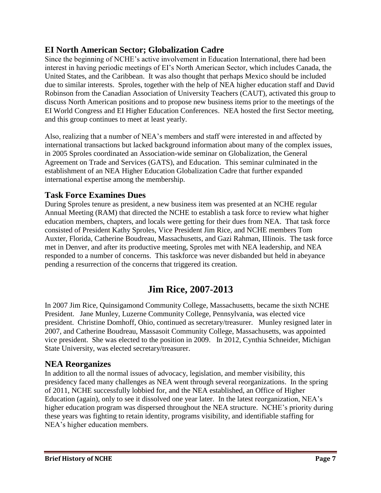#### **EI North American Sector; Globalization Cadre**

Since the beginning of NCHE's active involvement in Education International, there had been interest in having periodic meetings of EI's North American Sector, which includes Canada, the United States, and the Caribbean. It was also thought that perhaps Mexico should be included due to similar interests. Sproles, together with the help of NEA higher education staff and David Robinson from the Canadian Association of University Teachers (CAUT), activated this group to discuss North American positions and to propose new business items prior to the meetings of the EI World Congress and EI Higher Education Conferences. NEA hosted the first Sector meeting, and this group continues to meet at least yearly.

Also, realizing that a number of NEA's members and staff were interested in and affected by international transactions but lacked background information about many of the complex issues, in 2005 Sproles coordinated an Association-wide seminar on Globalization, the General Agreement on Trade and Services (GATS), and Education. This seminar culminated in the establishment of an NEA Higher Education Globalization Cadre that further expanded international expertise among the membership.

#### **Task Force Examines Dues**

During Sproles tenure as president, a new business item was presented at an NCHE regular Annual Meeting (RAM) that directed the NCHE to establish a task force to review what higher education members, chapters, and locals were getting for their dues from NEA. That task force consisted of President Kathy Sproles, Vice President Jim Rice, and NCHE members Tom Auxter, Florida, Catherine Boudreau, Massachusetts, and Gazi Rahman, IIIinois. The task force met in Denver, and after its productive meeting, Sproles met with NEA leadership, and NEA responded to a number of concerns. This taskforce was never disbanded but held in abeyance pending a resurrection of the concerns that triggered its creation.

## **Jim Rice, 2007-2013**

In 2007 Jim Rice, Quinsigamond Community College, Massachusetts, became the sixth NCHE President. Jane Munley, Luzerne Community College, Pennsylvania, was elected vice president. Christine Domhoff, Ohio, continued as secretary/treasurer. Munley resigned later in 2007, and Catherine Boudreau, Massasoit Community College, Massachusetts, was appointed vice president. She was elected to the position in 2009. In 2012, Cynthia Schneider, Michigan State University, was elected secretary/treasurer.

#### **NEA Reorganizes**

In addition to all the normal issues of advocacy, legislation, and member visibility, this presidency faced many challenges as NEA went through several reorganizations. In the spring of 2011, NCHE successfully lobbied for, and the NEA established, an Office of Higher Education (again), only to see it dissolved one year later. In the latest reorganization, NEA's higher education program was dispersed throughout the NEA structure. NCHE's priority during these years was fighting to retain identity, programs visibility, and identifiable staffing for NEA's higher education members.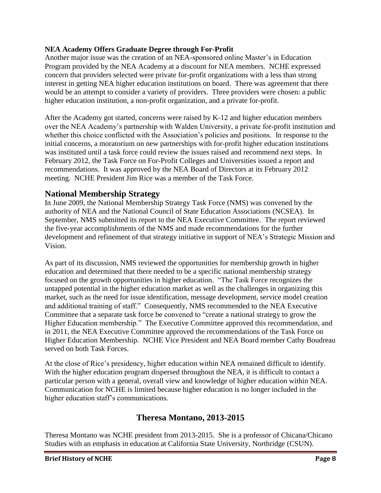#### **NEA Academy Offers Graduate Degree through For-Profit**

Another major issue was the creation of an NEA-sponsored online Master's in Education Program provided by the NEA Academy at a discount for NEA members. NCHE expressed concern that providers selected were private for-profit organizations with a less than strong interest in getting NEA higher education institutions on board. There was agreement that there would be an attempt to consider a variety of providers. Three providers were chosen: a public higher education institution, a non-profit organization, and a private for-profit.

After the Academy got started, concerns were raised by K-12 and higher education members over the NEA Academy's partnership with Walden University, a private for-profit institution and whether this choice conflicted with the Association's policies and positions. In response to the initial concerns, a moratorium on new partnerships with for-profit higher education institutions was instituted until a task force could review the issues raised and recommend next steps. In February 2012, the Task Force on For-Profit Colleges and Universities issued a report and recommendations. It was approved by the NEA Board of Directors at its February 2012 meeting. NCHE President Jim Rice was a member of the Task Force.

#### **National Membership Strategy**

In June 2009, the National Membership Strategy Task Force (NMS) was convened by the authority of NEA and the National Council of State Education Associations (NCSEA). In September, NMS submitted its report to the NEA Executive Committee. The report reviewed the five-year accomplishments of the NMS and made recommendations for the further development and refinement of that strategy initiative in support of NEA's Strategic Mission and Vision.

As part of its discussion, NMS reviewed the opportunities for membership growth in higher education and determined that there needed to be a specific national membership strategy focused on the growth opportunities in higher education. "The Task Force recognizes the untapped potential in the higher education market as well as the challenges in organizing this market, such as the need for issue identification, message development, service model creation and additional training of staff." Consequently, NMS recommended to the NEA Executive Committee that a separate task force be convened to "create a national strategy to grow the Higher Education membership." The Executive Committee approved this recommendation, and in 2011, the NEA Executive Committee approved the recommendations of the Task Force on Higher Education Membership. NCHE Vice President and NEA Board member Cathy Boudreau served on both Task Forces.

At the close of Rice's presidency, higher education within NEA remained difficult to identify. With the higher education program dispersed throughout the NEA, it is difficult to contact a particular person with a general, overall view and knowledge of higher education within NEA. Communication for NCHE is limited because higher education is no longer included in the higher education staff's communications.

#### **Theresa Montano, 2013-2015**

Theresa Montano was NCHE president from 2013-2015. She is a professor of Chicana/Chicano Studies with an emphasis in education at California State University, Northridge (CSUN).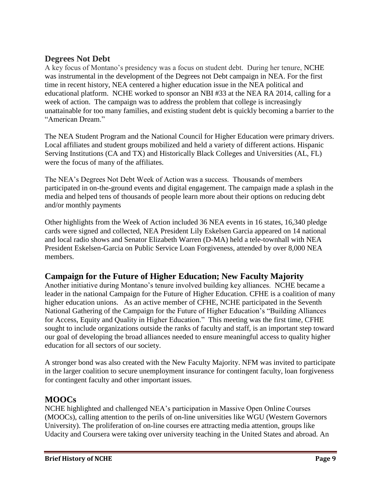#### **Degrees Not Debt**

A key focus of Montano's presidency was a focus on student debt. During her tenure, NCHE was instrumental in the development of the Degrees not Debt campaign in NEA. For the first time in recent history, NEA centered a higher education issue in the NEA political and educational platform. NCHE worked to sponsor an NBI #33 at the NEA RA 2014, calling for a week of action. The campaign was to address the problem that college is increasingly unattainable for too many families, and existing student debt is quickly becoming a barrier to the "American Dream."

The NEA Student Program and the National Council for Higher Education were primary drivers. Local affiliates and student groups mobilized and held a variety of different actions. Hispanic Serving Institutions (CA and TX) and Historically Black Colleges and Universities (AL, FL) were the focus of many of the affiliates.

The NEA's Degrees Not Debt Week of Action was a success. Thousands of members participated in on-the-ground events and digital engagement. The campaign made a splash in the media and helped tens of thousands of people learn more about their options on reducing debt and/or monthly payments

Other highlights from the Week of Action included 36 NEA events in 16 states, 16,340 pledge cards were signed and collected, NEA President Lily Eskelsen Garcia appeared on 14 national and local radio shows and Senator Elizabeth Warren (D-MA) held a tele-townhall with NEA President Eskelsen-Garcia on Public Service Loan Forgiveness, attended by over 8,000 NEA members.

#### **Campaign for the Future of Higher Education; New Faculty Majority**

Another initiative during Montano's tenure involved building key alliances. NCHE became a leader in the national Campaign for the Future of Higher Education. CFHE is a coalition of many higher education unions. As an active member of CFHE, NCHE participated in the Seventh National Gathering of the Campaign for the Future of Higher Education's "Building Alliances for Access, Equity and Quality in Higher Education." This meeting was the first time, CFHE sought to include organizations outside the ranks of faculty and staff, is an important step toward our goal of developing the broad alliances needed to ensure meaningful access to quality higher education for all sectors of our society.

A stronger bond was also created with the New Faculty Majority. NFM was invited to participate in the larger coalition to secure unemployment insurance for contingent faculty, loan forgiveness for contingent faculty and other important issues.

#### **MOOCs**

NCHE highlighted and challenged NEA's participation in Massive Open Online Courses (MOOCs), calling attention to the perils of on-line universities like WGU (Western Governors University). The proliferation of on-line courses ere attracting media attention, groups like Udacity and Coursera were taking over university teaching in the United States and abroad. An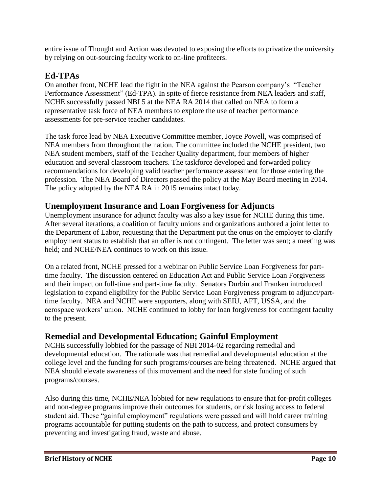entire issue of Thought and Action was devoted to exposing the efforts to privatize the university by relying on out-sourcing faculty work to on-line profiteers.

### **Ed-TPAs**

On another front, NCHE lead the fight in the NEA against the Pearson company's "Teacher Performance Assessment" (Ed-TPA). In spite of fierce resistance from NEA leaders and staff, NCHE successfully passed NBI 5 at the NEA RA 2014 that called on NEA to form a representative task force of NEA members to explore the use of teacher performance assessments for pre-service teacher candidates.

The task force lead by NEA Executive Committee member, Joyce Powell, was comprised of NEA members from throughout the nation. The committee included the NCHE president, two NEA student members, staff of the Teacher Quality department, four members of higher education and several classroom teachers. The taskforce developed and forwarded policy recommendations for developing valid teacher performance assessment for those entering the profession. The NEA Board of Directors passed the policy at the May Board meeting in 2014. The policy adopted by the NEA RA in 2015 remains intact today.

#### **Unemployment Insurance and Loan Forgiveness for Adjuncts**

Unemployment insurance for adjunct faculty was also a key issue for NCHE during this time. After several iterations, a coalition of faculty unions and organizations authored a joint letter to the Department of Labor, requesting that the Department put the onus on the employer to clarify employment status to establish that an offer is not contingent. The letter was sent; a meeting was held; and NCHE/NEA continues to work on this issue.

On a related front, NCHE pressed for a webinar on Public Service Loan Forgiveness for parttime faculty. The discussion centered on Education Act and Public Service Loan Forgiveness and their impact on full-time and part-time faculty. Senators Durbin and Franken introduced legislation to expand eligibility for the Public Service Loan Forgiveness program to adjunct/parttime faculty. NEA and NCHE were supporters, along with SEIU, AFT, USSA, and the aerospace workers' union. NCHE continued to lobby for loan forgiveness for contingent faculty to the present.

#### **Remedial and Developmental Education; Gainful Employment**

NCHE successfully lobbied for the passage of NBI 2014-02 regarding remedial and developmental education. The rationale was that remedial and developmental education at the college level and the funding for such programs/courses are being threatened. NCHE argued that NEA should elevate awareness of this movement and the need for state funding of such programs/courses.

Also during this time, NCHE/NEA lobbied for new regulations to ensure that for-profit colleges and non-degree programs improve their outcomes for students, or risk losing access to federal student aid. These "gainful employment" regulations were passed and will hold career training programs accountable for putting students on the path to success, and protect consumers by preventing and investigating fraud, waste and abuse.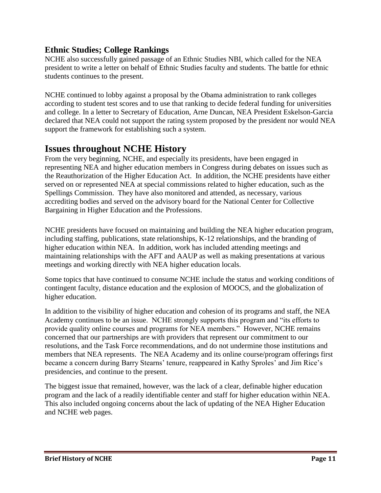#### **Ethnic Studies; College Rankings**

NCHE also successfully gained passage of an Ethnic Studies NBI, which called for the NEA president to write a letter on behalf of Ethnic Studies faculty and students. The battle for ethnic students continues to the present.

NCHE continued to lobby against a proposal by the Obama administration to rank colleges according to student test scores and to use that ranking to decide federal funding for universities and college. In a letter to Secretary of Education, Arne Duncan, NEA President Eskelson-Garcia declared that NEA could not support the rating system proposed by the president nor would NEA support the framework for establishing such a system.

### **Issues throughout NCHE History**

From the very beginning, NCHE, and especially its presidents, have been engaged in representing NEA and higher education members in Congress during debates on issues such as the Reauthorization of the Higher Education Act. In addition, the NCHE presidents have either served on or represented NEA at special commissions related to higher education, such as the Spellings Commission. They have also monitored and attended, as necessary, various accrediting bodies and served on the advisory board for the National Center for Collective Bargaining in Higher Education and the Professions.

NCHE presidents have focused on maintaining and building the NEA higher education program, including staffing, publications, state relationships, K-12 relationships, and the branding of higher education within NEA. In addition, work has included attending meetings and maintaining relationships with the AFT and AAUP as well as making presentations at various meetings and working directly with NEA higher education locals.

Some topics that have continued to consume NCHE include the status and working conditions of contingent faculty, distance education and the explosion of MOOCS, and the globalization of higher education.

In addition to the visibility of higher education and cohesion of its programs and staff, the NEA Academy continues to be an issue. NCHE strongly supports this program and "its efforts to provide quality online courses and programs for NEA members." However, NCHE remains concerned that our partnerships are with providers that represent our commitment to our resolutions, and the Task Force recommendations, and do not undermine those institutions and members that NEA represents. The NEA Academy and its online course/program offerings first became a concern during Barry Stearns' tenure, reappeared in Kathy Sproles' and Jim Rice's presidencies, and continue to the present.

The biggest issue that remained, however, was the lack of a clear, definable higher education program and the lack of a readily identifiable center and staff for higher education within NEA. This also included ongoing concerns about the lack of updating of the NEA Higher Education and NCHE web pages.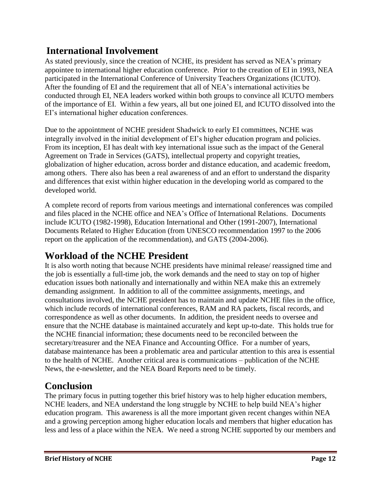## **International Involvement**

As stated previously, since the creation of NCHE, its president has served as NEA's primary appointee to international higher education conference. Prior to the creation of EI in 1993, NEA participated in the International Conference of University Teachers Organizations (ICUTO). After the founding of EI and the requirement that all of NEA's international activities be conducted through EI, NEA leaders worked within both groups to convince all ICUTO members of the importance of EI. Within a few years, all but one joined EI, and ICUTO dissolved into the EI's international higher education conferences.

Due to the appointment of NCHE president Shadwick to early EI committees, NCHE was integrally involved in the initial development of EI's higher education program and policies. From its inception, EI has dealt with key international issue such as the impact of the General Agreement on Trade in Services (GATS), intellectual property and copyright treaties, globalization of higher education, across border and distance education, and academic freedom, among others. There also has been a real awareness of and an effort to understand the disparity and differences that exist within higher education in the developing world as compared to the developed world.

A complete record of reports from various meetings and international conferences was compiled and files placed in the NCHE office and NEA's Office of International Relations. Documents include ICUTO (1982-1998), Education International and Other (1991-2007), International Documents Related to Higher Education (from UNESCO recommendation 1997 to the 2006 report on the application of the recommendation), and GATS (2004-2006).

## **Workload of the NCHE President**

It is also worth noting that because NCHE presidents have minimal release/ reassigned time and the job is essentially a full-time job, the work demands and the need to stay on top of higher education issues both nationally and internationally and within NEA make this an extremely demanding assignment. In addition to all of the committee assignments, meetings, and consultations involved, the NCHE president has to maintain and update NCHE files in the office, which include records of international conferences, RAM and RA packets, fiscal records, and correspondence as well as other documents. In addition, the president needs to oversee and ensure that the NCHE database is maintained accurately and kept up-to-date. This holds true for the NCHE financial information; these documents need to be reconciled between the secretary/treasurer and the NEA Finance and Accounting Office. For a number of years, database maintenance has been a problematic area and particular attention to this area is essential to the health of NCHE. Another critical area is communications – publication of the NCHE News, the e-newsletter, and the NEA Board Reports need to be timely.

## **Conclusion**

The primary focus in putting together this brief history was to help higher education members, NCHE leaders, and NEA understand the long struggle by NCHE to help build NEA's higher education program. This awareness is all the more important given recent changes within NEA and a growing perception among higher education locals and members that higher education has less and less of a place within the NEA. We need a strong NCHE supported by our members and